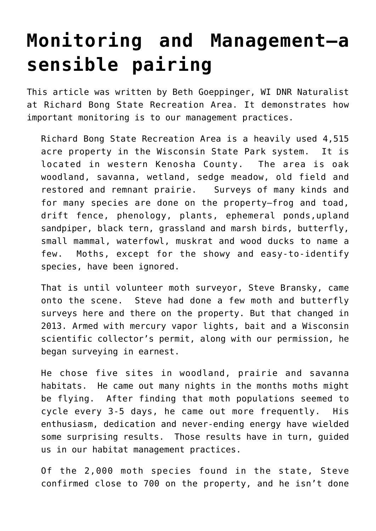## **[Monitoring and Management—a](https://driftlessprairies.org/13651/) [sensible pairing](https://driftlessprairies.org/13651/)**

This article was written by Beth Goeppinger, WI DNR Naturalist at Richard Bong State Recreation Area. It demonstrates how important monitoring is to our management practices.

Richard Bong State Recreation Area is a heavily used 4,515 acre property in the Wisconsin State Park system. It is located in western Kenosha County. The area is oak woodland, savanna, wetland, sedge meadow, old field and restored and remnant prairie. Surveys of many kinds and for many species are done on the property—frog and toad, drift fence, phenology, plants, ephemeral ponds,upland sandpiper, black tern, grassland and marsh birds, butterfly, small mammal, waterfowl, muskrat and wood ducks to name a few. Moths, except for the showy and easy-to-identify species, have been ignored.

That is until volunteer moth surveyor, Steve Bransky, came onto the scene. Steve had done a few moth and butterfly surveys here and there on the property. But that changed in 2013. Armed with mercury vapor lights, bait and a Wisconsin scientific collector's permit, along with our permission, he began surveying in earnest.

He chose five sites in woodland, prairie and savanna habitats. He came out many nights in the months moths might be flying. After finding that moth populations seemed to cycle every 3-5 days, he came out more frequently. His enthusiasm, dedication and never-ending energy have wielded some surprising results. Those results have in turn, guided us in our habitat management practices.

Of the 2,000 moth species found in the state, Steve confirmed close to 700 on the property, and he isn't done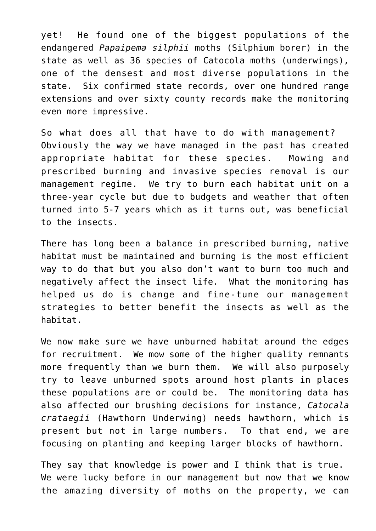yet! He found one of the biggest populations of the endangered *Papaipema silphii* moths (Silphium borer) in the state as well as 36 species of Catocola moths (underwings), one of the densest and most diverse populations in the state. Six confirmed state records, over one hundred range extensions and over sixty county records make the monitoring even more impressive.

So what does all that have to do with management? Obviously the way we have managed in the past has created appropriate habitat for these species. Mowing and prescribed burning and invasive species removal is our management regime. We try to burn each habitat unit on a three-year cycle but due to budgets and weather that often turned into 5-7 years which as it turns out, was beneficial to the insects.

There has long been a balance in prescribed burning, native habitat must be maintained and burning is the most efficient way to do that but you also don't want to burn too much and negatively affect the insect life. What the monitoring has helped us do is change and fine-tune our management strategies to better benefit the insects as well as the habitat.

We now make sure we have unburned habitat around the edges for recruitment. We mow some of the higher quality remnants more frequently than we burn them. We will also purposely try to leave unburned spots around host plants in places these populations are or could be. The monitoring data has also affected our brushing decisions for instance, *Catocala crataegii* (Hawthorn Underwing) needs hawthorn, which is present but not in large numbers. To that end, we are focusing on planting and keeping larger blocks of hawthorn.

They say that knowledge is power and I think that is true. We were lucky before in our management but now that we know the amazing diversity of moths on the property, we can